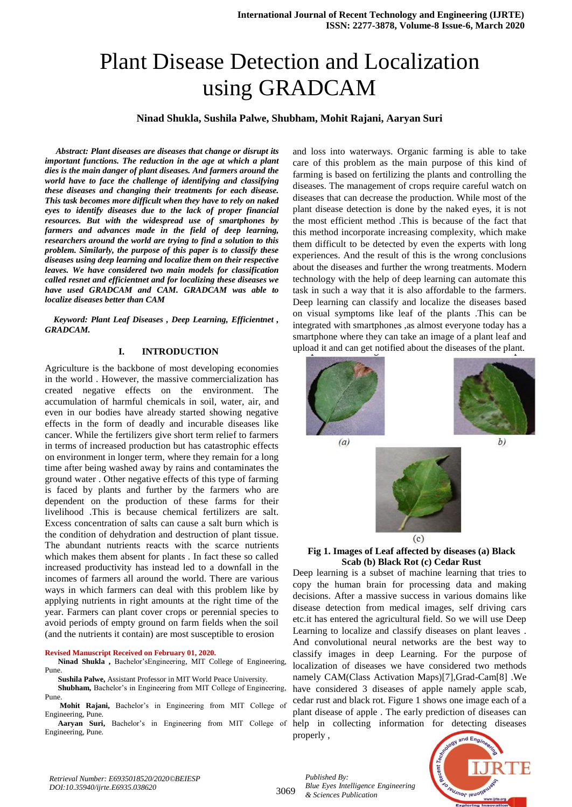# Plant Disease Detection and Localization using GRADCAM

### **Ninad Shukla, Sushila Palwe, Shubham, Mohit Rajani, Aaryan Suri**

 *Abstract: Plant diseases are diseases that change or disrupt its important functions. The reduction in the age at which a plant dies is the main danger of plant diseases. And farmers around the world have to face the challenge of identifying and classifying these diseases and changing their treatments for each disease. This task becomes more difficult when they have to rely on naked eyes to identify diseases due to the lack of proper financial resources. But with the widespread use of smartphones by farmers and advances made in the field of deep learning, researchers around the world are trying to find a solution to this problem. Similarly, the purpose of this paper is to classify these diseases using deep learning and localize them on their respective leaves. We have considered two main models for classification called resnet and efficientnet and for localizing these diseases we have used GRADCAM and CAM. GRADCAM was able to localize diseases better than CAM*

 *Keyword: Plant Leaf Diseases , Deep Learning, Efficientnet , GRADCAM.*

#### **I. INTRODUCTION**

Agriculture is the backbone of most developing economies in the world . However, the massive commercialization has created negative effects on the environment. The accumulation of harmful chemicals in soil, water, air, and even in our bodies have already started showing negative effects in the form of deadly and incurable diseases like cancer. While the fertilizers give short term relief to farmers in terms of increased production but has catastrophic effects on environment in longer term, where they remain for a long time after being washed away by rains and contaminates the ground water . Other negative effects of this type of farming is faced by plants and further by the farmers who are dependent on the production of these farms for their livelihood .This is because chemical fertilizers are salt. Excess concentration of salts can cause a salt burn which is the condition of dehydration and destruction of plant tissue. The abundant nutrients reacts with the scarce nutrients which makes them absent for plants . In fact these so called increased productivity has instead led to a downfall in the incomes of farmers all around the world. There are various ways in which farmers can deal with this problem like by applying nutrients in right amounts at the right time of the year. Farmers can plant cover crops or perennial species to avoid periods of empty ground on farm fields when the soil (and the nutrients it contain) are most susceptible to erosion

#### **Revised Manuscript Received on February 01, 2020.**

**Ninad Shukla ,** Bachelor'sEngineering, MIT College of Engineering, Pune.

**Sushila Palwe,** Assistant Professor in MIT World Peace University.

**Shubham,** Bachelor's in Engineering from MIT College of Engineering, Pune.

**Mohit Rajani,** Bachelor's in Engineering from MIT College of Engineering, Pune.

**Aaryan Suri,** Bachelor's in Engineering from MIT College of Engineering, Pune.

and loss into waterways. Organic farming is able to take care of this problem as the main purpose of this kind of farming is based on fertilizing the plants and controlling the diseases. The management of crops require careful watch on diseases that can decrease the production. While most of the plant disease detection is done by the naked eyes, it is not the most efficient method .This is because of the fact that this method incorporate increasing complexity, which make them difficult to be detected by even the experts with long experiences. And the result of this is the wrong conclusions about the diseases and further the wrong treatments. Modern technology with the help of deep learning can automate this task in such a way that it is also affordable to the farmers. Deep learning can classify and localize the diseases based on visual symptoms like leaf of the plants .This can be integrated with smartphones ,as almost everyone today has a smartphone where they can take an image of a plant leaf and upload it and can get notified about the diseases of the plant.



#### **Fig 1. Images of Leaf affected by diseases (a) Black Scab (b) Black Rot (c) Cedar Rust**

Deep learning is a subset of machine learning that tries to copy the human brain for processing data and making decisions. After a massive success in various domains like disease detection from medical images, self driving cars etc.it has entered the agricultural field. So we will use Deep Learning to localize and classify diseases on plant leaves . And convolutional neural networks are the best way to classify images in deep Learning. For the purpose of localization of diseases we have considered two methods namely CAM(Class Activation Maps)[7],Grad-Cam[8] .We have considered 3 diseases of apple namely apple scab, cedar rust and black rot. Figure 1 shows one image each of a plant disease of apple . The early prediction of diseases can help in collecting information for detecting diseases properly ,



3069

*Published By: Blue Eyes Intelligence Engineering & Sciences Publication*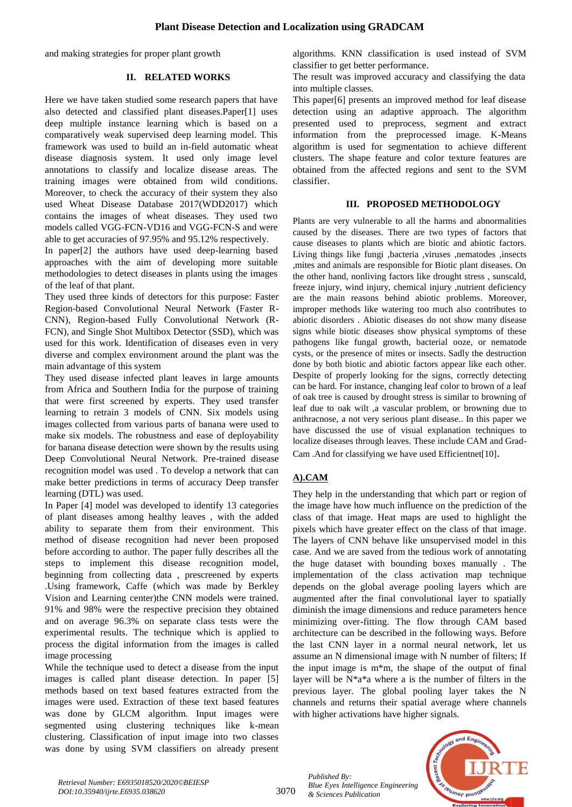and making strategies for proper plant growth

## **II. RELATED WORKS**

Here we have taken studied some research papers that have also detected and classified plant diseases.Paper[1] uses deep multiple instance learning which is based on a comparatively weak supervised deep learning model. This framework was used to build an in-field automatic wheat disease diagnosis system. It used only image level annotations to classify and localize disease areas. The training images were obtained from wild conditions. Moreover, to check the accuracy of their system they also used Wheat Disease Database 2017(WDD2017) which contains the images of wheat diseases. They used two models called VGG-FCN-VD16 and VGG-FCN-S and were able to get accuracies of 97.95% and 95.12% respectively.

In paper[2] the authors have used deep-learning based approaches with the aim of developing more suitable methodologies to detect diseases in plants using the images of the leaf of that plant.

They used three kinds of detectors for this purpose: Faster Region-based Convolutional Neural Network (Faster R-CNN), Region-based Fully Convolutional Network (R-FCN), and Single Shot Multibox Detector (SSD), which was used for this work. Identification of diseases even in very diverse and complex environment around the plant was the main advantage of this system

They used disease infected plant leaves in large amounts from Africa and Southern India for the purpose of training that were first screened by experts. They used transfer learning to retrain 3 models of CNN. Six models using images collected from various parts of banana were used to make six models. The robustness and ease of deployability for banana disease detection were shown by the results using Deep Convolutional Neural Network. Pre-trained disease recognition model was used . To develop a network that can make better predictions in terms of accuracy Deep transfer learning (DTL) was used.

In Paper [4] model was developed to identify 13 categories of plant diseases among healthy leaves , with the added ability to separate them from their environment. This method of disease recognition had never been proposed before according to author. The paper fully describes all the steps to implement this disease recognition model, beginning from collecting data , prescreened by experts .Using framework, Caffe (which was made by Berkley Vision and Learning center)the CNN models were trained. 91% and 98% were the respective precision they obtained and on average 96.3% on separate class tests were the experimental results. The technique which is applied to process the digital information from the images is called image processing

While the technique used to detect a disease from the input images is called plant disease detection. In paper [5] methods based on text based features extracted from the images were used. Extraction of these text based features was done by GLCM algorithm. Input images were segmented using clustering techniques like k-mean clustering. Classification of input image into two classes was done by using SVM classifiers on already present algorithms. KNN classification is used instead of SVM classifier to get better performance.

The result was improved accuracy and classifying the data into multiple classes.

This paper[6] presents an improved method for leaf disease detection using an adaptive approach. The algorithm presented used to preprocess, segment and extract information from the preprocessed image. K-Means algorithm is used for segmentation to achieve different clusters. The shape feature and color texture features are obtained from the affected regions and sent to the SVM classifier.

## **III. PROPOSED METHODOLOGY**

Plants are very vulnerable to all the harms and abnormalities caused by the diseases. There are two types of factors that cause diseases to plants which are biotic and abiotic factors. Living things like fungi ,bacteria ,viruses ,nematodes ,insects ,mites and animals are responsible for Biotic plant diseases. On the other hand, nonliving factors like drought stress , sunscald, freeze injury, wind injury, chemical injury ,nutrient deficiency are the main reasons behind abiotic problems. Moreover, improper methods like watering too much also contributes to abiotic disorders . Abiotic diseases do not show many disease signs while biotic diseases show physical symptoms of these pathogens like fungal growth, bacterial ooze, or nematode cysts, or the presence of mites or insects. Sadly the destruction done by both biotic and abiotic factors appear like each other. Despite of properly looking for the signs, correctly detecting can be hard. For instance, changing leaf color to brown of a leaf of oak tree is caused by drought stress is similar to browning of leaf due to oak wilt ,a vascular problem, or browning due to anthracnose, a not very serious plant disease.. In this paper we have discussed the use of visual explanation techniques to localize diseases through leaves. These include CAM and Grad-Cam .And for classifying we have used Efficientnet[10].

## **A).CAM**

They help in the understanding that which part or region of the image have how much influence on the prediction of the class of that image. Heat maps are used to highlight the pixels which have greater effect on the class of that image. The layers of CNN behave like unsupervised model in this case. And we are saved from the tedious work of annotating the huge dataset with bounding boxes manually . The implementation of the class activation map technique depends on the global average pooling layers which are augmented after the final convolutional layer to spatially diminish the image dimensions and reduce parameters hence minimizing over-fitting. The flow through CAM based architecture can be described in the following ways. Before the last CNN layer in a normal neural network, let us assume an N dimensional image with N number of filters; If the input image is m\*m, the shape of the output of final layer will be N\*a\*a where a is the number of filters in the previous layer. The global pooling layer takes the N channels and returns their spatial average where channels with higher activations have higher signals.



*Retrieval Number: E6935018520/2020©BEIESP DOI:10.35940/ijrte.E6935.038620*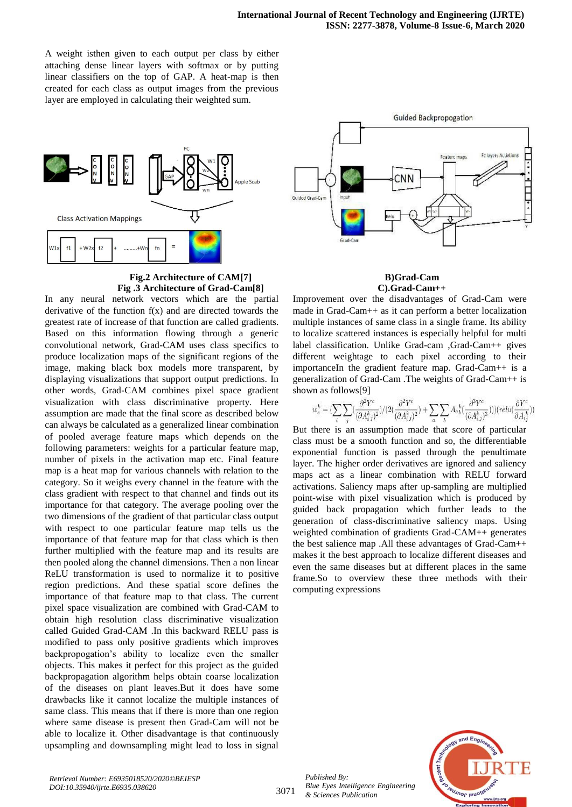A weight isthen given to each output per class by either attaching dense linear layers with softmax or by putting linear classifiers on the top of GAP. A heat-map is then created for each class as output images from the previous layer are employed in calculating their weighted sum.



## **Fig.2 Architecture of CAM[7] Fig .3 Architecture of Grad-Cam[8]**

In any neural network vectors which are the partial derivative of the function  $f(x)$  and are directed towards the greatest rate of increase of that function are called gradients. Based on this information flowing through a generic convolutional network, Grad-CAM uses class specifics to produce localization maps of the significant regions of the image, making black box models more transparent, by displaying visualizations that support output predictions. In other words, Grad-CAM combines pixel space gradient visualization with class discriminative property. Here assumption are made that the final score as described below can always be calculated as a generalized linear combination of pooled average feature maps which depends on the following parameters: weights for a particular feature map, number of pixels in the activation map etc. Final feature map is a heat map for various channels with relation to the category. So it weighs every channel in the feature with the class gradient with respect to that channel and finds out its importance for that category. The average pooling over the two dimensions of the gradient of that particular class output with respect to one particular feature map tells us the importance of that feature map for that class which is then further multiplied with the feature map and its results are then pooled along the channel dimensions. Then a non linear ReLU transformation is used to normalize it to positive region predictions. And these spatial score defines the importance of that feature map to that class. The current pixel space visualization are combined with Grad-CAM to obtain high resolution class discriminative visualization called Guided Grad-CAM .In this backward RELU pass is modified to pass only positive gradients which improves backpropogation's ability to localize even the smaller objects. This makes it perfect for this project as the guided backpropagation algorithm helps obtain coarse localization of the diseases on plant leaves.But it does have some drawbacks like it cannot localize the multiple instances of same class. This means that if there is more than one region where same disease is present then Grad-Cam will not be able to localize it. Other disadvantage is that continuously upsampling and downsampling might lead to loss in signal



#### **B)Grad-Cam C).Grad-Cam++**

Improvement over the disadvantages of Grad-Cam were made in Grad-Cam++ as it can perform a better localization multiple instances of same class in a single frame. Its ability to localize scattered instances is especially helpful for multi label classification. Unlike Grad-cam ,Grad-Cam++ gives different weightage to each pixel according to their importanceIn the gradient feature map. Grad-Cam++ is a generalization of Grad-Cam .The weights of Grad-Cam++ is shown as follows[9]

$$
w_{c}^{k}=(\sum_{i}\sum_{i}(\frac{\partial^{2}Y^{c}}{(\partial A_{i\,j}^{k})^{2}})/(2(\frac{\partial^{2}Y^{c}}{(\partial A_{i\,j}^{k})^{2}})+\sum_{a}\sum_{b}A_{a}{}_{b}^{k}(\frac{\partial^{3}Y^{c}}{(\partial A_{i\,j}^{k})^{3}})))(relu(\frac{\partial Y^{c}}{\partial A_{i\,j}^{k}}))
$$

But there is an assumption made that score of particular class must be a smooth function and so, the differentiable exponential function is passed through the penultimate layer. The higher order derivatives are ignored and saliency maps act as a linear combination with RELU forward activations. Saliency maps after up-sampling are multiplied point-wise with pixel visualization which is produced by guided back propagation which further leads to the generation of class-discriminative saliency maps. Using weighted combination of gradients Grad-CAM++ generates the best salience map .All these advantages of Grad-Cam++ makes it the best approach to localize different diseases and even the same diseases but at different places in the same frame.So to overview these three methods with their computing expressions



*Published By: Blue Eyes Intelligence Engineering & Sciences Publication*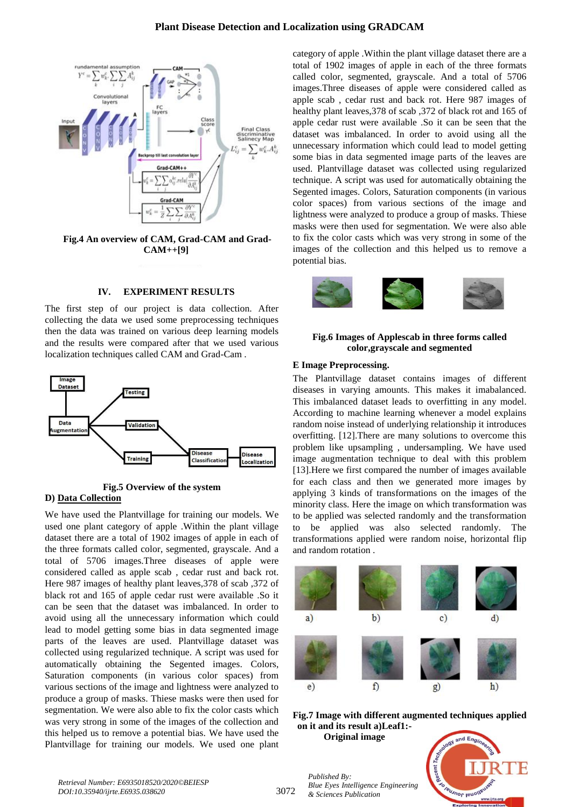

**Fig.4 An overview of CAM, Grad-CAM and Grad-CAM++[9]**

## **IV. EXPERIMENT RESULTS**

The first step of our project is data collection. After collecting the data we used some preprocessing techniques then the data was trained on various deep learning models and the results were compared after that we used various localization techniques called CAM and Grad-Cam .



**Fig.5 Overview of the system D) Data Collection**

We have used the Plantvillage for training our models. We used one plant category of apple .Within the plant village dataset there are a total of 1902 images of apple in each of the three formats called color, segmented, grayscale. And a total of 5706 images.Three diseases of apple were considered called as apple scab , cedar rust and back rot. Here 987 images of healthy plant leaves,378 of scab ,372 of black rot and 165 of apple cedar rust were available .So it can be seen that the dataset was imbalanced. In order to avoid using all the unnecessary information which could lead to model getting some bias in data segmented image parts of the leaves are used. Plantvillage dataset was collected using regularized technique. A script was used for automatically obtaining the Segented images. Colors, Saturation components (in various color spaces) from various sections of the image and lightness were analyzed to produce a group of masks. Thiese masks were then used for segmentation. We were also able to fix the color casts which was very strong in some of the images of the collection and this helped us to remove a potential bias. We have used the Plantvillage for training our models. We used one plant

category of apple .Within the plant village dataset there are a total of 1902 images of apple in each of the three formats called color, segmented, grayscale. And a total of 5706 images.Three diseases of apple were considered called as apple scab , cedar rust and back rot. Here 987 images of healthy plant leaves,378 of scab ,372 of black rot and 165 of apple cedar rust were available .So it can be seen that the dataset was imbalanced. In order to avoid using all the unnecessary information which could lead to model getting some bias in data segmented image parts of the leaves are used. Plantvillage dataset was collected using regularized technique. A script was used for automatically obtaining the Segented images. Colors, Saturation components (in various color spaces) from various sections of the image and lightness were analyzed to produce a group of masks. Thiese masks were then used for segmentation. We were also able to fix the color casts which was very strong in some of the images of the collection and this helped us to remove a potential bias.



#### **Fig.6 Images of Applescab in three forms called color,grayscale and segmented**

#### **E Image Preprocessing.**

The Plantvillage dataset contains images of different diseases in varying amounts. This makes it imabalanced. This imbalanced dataset leads to overfitting in any model. According to machine learning whenever a model explains random noise instead of underlying relationship it introduces overfitting. [12].There are many solutions to overcome this problem like upsampling , undersampling. We have used image augmentation technique to deal with this problem [13].Here we first compared the number of images available for each class and then we generated more images by applying 3 kinds of transformations on the images of the minority class. Here the image on which transformation was to be applied was selected randomly and the transformation to be applied was also selected randomly. The transformations applied were random noise, horizontal flip and random rotation .





**Original image**

*Blue Eyes Intelligence Engineering* 

*Published By:*

*& Sciences Publication* 

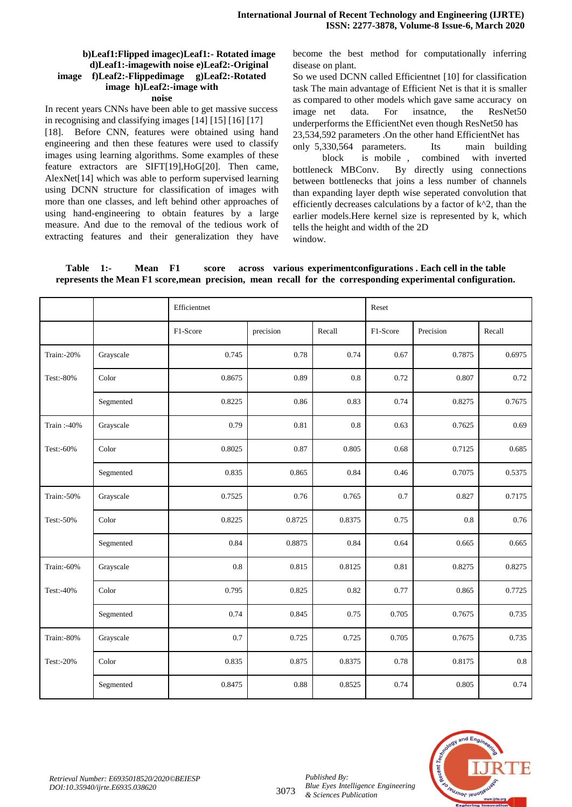#### **b)Leaf1:Flipped imagec)Leaf1:- Rotated image d)Leaf1:-imagewith noise e)Leaf2:-Original image f)Leaf2:-Flippedimage g)Leaf2:-Rotated image h)Leaf2:-image with noise**

In recent years CNNs have been able to get massive success in recognising and classifying images [14] [15] [16] [17] [18]. Before CNN, features were obtained using hand engineering and then these features were used to classify images using learning algorithms. Some examples of these feature extractors are SIFT[19],HoG[20]. Then came, AlexNet[14] which was able to perform supervised learning using DCNN structure for classification of images with more than one classes, and left behind other approaches of using hand-engineering to obtain features by a large measure. And due to the removal of the tedious work of extracting features and their generalization they have become the best method for computationally inferring disease on plant.

So we used DCNN called Efficientnet [10] for classification task The main advantage of Efficient Net is that it is smaller as compared to other models which gave same accuracy on image net data. For insatnce, the ResNet50 underperforms the EfficientNet even though ResNet50 has 23,534,592 parameters .On the other hand EfficientNet has

only 5,330,564 parameters. Its main building block is mobile , combined with inverted bottleneck MBConv. By directly using connections between bottlenecks that joins a less number of channels than expanding layer depth wise seperated convolution that efficiently decreases calculations by a factor of  $k^2$ , than the earlier models.Here kernel size is represented by k, which tells the height and width of the 2D window.

**Table 1:- Mean F1 score across various experimentconfigurations . Each cell in the table represents the Mean F1 score,mean precision, mean recall for the corresponding experimental configuration.**

|            |           | Efficientnet |           |           | Reset    |           |         |
|------------|-----------|--------------|-----------|-----------|----------|-----------|---------|
|            |           | F1-Score     | precision | Recall    | F1-Score | Precision | Recall  |
| Train:-20% | Grayscale | 0.745        | 0.78      | 0.74      | 0.67     | 0.7875    | 0.6975  |
| Test:-80%  | Color     | 0.8675       | 0.89      | $0.8\,$   | 0.72     | 0.807     | 0.72    |
|            | Segmented | 0.8225       | 0.86      | 0.83      | 0.74     | 0.8275    | 0.7675  |
| Train:-40% | Grayscale | 0.79         | 0.81      | $\rm 0.8$ | 0.63     | 0.7625    | 0.69    |
| Test:-60%  | Color     | 0.8025       | 0.87      | 0.805     | 0.68     | 0.7125    | 0.685   |
|            | Segmented | 0.835        | 0.865     | 0.84      | 0.46     | 0.7075    | 0.5375  |
| Train:-50% | Grayscale | 0.7525       | 0.76      | 0.765     | 0.7      | 0.827     | 0.7175  |
| Test:-50%  | Color     | 0.8225       | 0.8725    | 0.8375    | 0.75     | 0.8       | 0.76    |
|            | Segmented | 0.84         | 0.8875    | 0.84      | 0.64     | 0.665     | 0.665   |
| Train:-60% | Grayscale | 0.8          | 0.815     | 0.8125    | 0.81     | 0.8275    | 0.8275  |
| Test:-40%  | Color     | 0.795        | 0.825     | 0.82      | 0.77     | 0.865     | 0.7725  |
|            | Segmented | 0.74         | 0.845     | 0.75      | 0.705    | 0.7675    | 0.735   |
| Train:-80% | Grayscale | 0.7          | 0.725     | 0.725     | 0.705    | 0.7675    | 0.735   |
| Test:-20%  | Color     | 0.835        | 0.875     | 0.8375    | 0.78     | 0.8175    | $0.8\,$ |
|            | Segmented | 0.8475       | 0.88      | 0.8525    | 0.74     | 0.805     | 0.74    |



*Published By:*

*& Sciences Publication* 

*Blue Eyes Intelligence Engineering*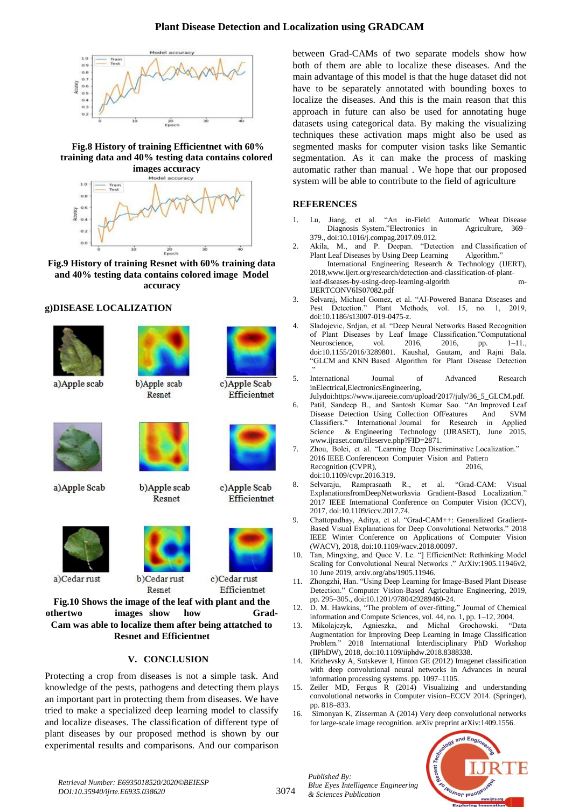

**Fig.8 History of training Efficientnet with 60% training data and 40% testing data contains colored images accuracy**



**Fig.9 History of training Resnet with 60% training data and 40% testing data contains colored image Model accuracy**

b)Apple scab

Resnet

c)Apple Scab

c)Apple Scab

c)Cedar rust

Efficientnet

**Efficientnet** 

Efficientnet

## **g)DISEASE LOCALIZATION**



a) Apple scab



a) Apple Scab



a)Cedar rust





b)Apple scab

Resnet

b)Cedar rust Resnet

**Fig.10 Shows the image of the leaf with plant and the othertwo images show how Grad-Cam was able to localize them after being attatched to Resnet and Efficientnet**

#### **V. CONCLUSION**

Protecting a crop from diseases is not a simple task. And knowledge of the pests, pathogens and detecting them plays an important part in protecting them from diseases. We have tried to make a specialized deep learning model to classify and localize diseases. The classification of different type of plant diseases by our proposed method is shown by our experimental results and comparisons. And our comparison between Grad-CAMs of two separate models show how both of them are able to localize these diseases. And the main advantage of this model is that the huge dataset did not have to be separately annotated with bounding boxes to localize the diseases. And this is the main reason that this approach in future can also be used for annotating huge datasets using categorical data. By making the visualizing techniques these activation maps might also be used as segmented masks for computer vision tasks like Semantic segmentation. As it can make the process of masking automatic rather than manual . We hope that our proposed system will be able to contribute to the field of agriculture

## **REFERENCES**

- 1. Lu, Jiang, et al. "An in-Field Automatic Wheat Disease Diagnosis System."Electronics in Agriculture, 369– 379., doi:10.1016/j.compag.2017.09.012.
- 2. Akila, M., and P. Deepan. "Detection and Classification of Plant Leaf Diseases by Using Deep Learning Algorithm." International Engineering Research & Technology (IJERT), 2018,www.ijert.org/research/detection-and-classification-of-plantleaf-diseases-by-using-deep-learning-algorith m-IJERTCONV6IS07082.pdf
- 3. Selvaraj, Michael Gomez, et al. "AI-Powered Banana Diseases and Plant Methods, vol. 15, no. 1, 2019, doi:10.1186/s13007-019-0475-z.
- 4. Sladojevic, Srdjan, et al. "Deep Neural Networks Based Recognition of Plant Diseases by Leaf Image Classification."Computational Neuroscience, vol. 2016, 2016, pp. 1–11., doi:10.1155/2016/3289801. Kaushal, Gautam, and Rajni Bala. "GLCM and KNN Based Algorithm for Plant Disease Detection ."
- 5. International Journal of Advanced Research inElectrical,ElectronicsEngineering,
- Julydoi:https://www.ijareeie.com/upload/2017/july/36\_5\_GLCM.pdf. 6. Patil, Sandeep B., and Santosh Kumar Sao. "An Improved Leaf Disease Detection Using Collection OfFeatures And SVM Classifiers." International Journal for Research in Applied Science & Engineering Technology (IJRASET), June 2015, www.ijraset.com/fileserve.php?FID=2871.
- 7. Zhou, Bolei, et al. "Learning Deep Discriminative Localization." 2016 IEEE Conferenceon Computer Vision and Pattern Recognition (CVPR), 2016. doi:10.1109/cvpr.2016.319.
- 8. Selvaraju, Ramprasaath R., et al. "Grad-CAM: Visual ExplanationsfromDeepNetworksvia Gradient-Based Localization." 2017 IEEE International Conference on Computer Vision (ICCV), 2017, doi:10.1109/iccv.2017.74.
- 9. Chattopadhay, Aditya, et al. "Grad-CAM++: Generalized Gradient-Based Visual Explanations for Deep Convolutional Networks." 2018 IEEE Winter Conference on Applications of Computer Vision (WACV), 2018, doi:10.1109/wacv.2018.00097.
- 10. Tan, Mingxing, and Quoc V. Le. "] EfficientNet: Rethinking Model Scaling for Convolutional Neural Networks ." ArXiv:1905.11946v2, 10 June 2019, arxiv.org/abs/1905.11946.
- 11. Zhongzhi, Han. "Using Deep Learning for Image-Based Plant Disease Detection." Computer Vision-Based Agriculture Engineering, 2019, pp. 295–305., doi:10.1201/9780429289460-24.
- 12. D. M. Hawkins, "The problem of over-fitting," Journal of Chemical information and Compute Sciences, vol. 44, no. 1, pp. 1–12, 2004.
- 13. Mikolajczyk, Agnieszka, and Michal Grochowski. "Data Augmentation for Improving Deep Learning in Image Classification Problem." 2018 International Interdisciplinary PhD Workshop (IIPhDW), 2018, doi:10.1109/iiphdw.2018.8388338.
- 14. Krizhevsky A, Sutskever I, Hinton GE (2012) Imagenet classification with deep convolutional neural networks in Advances in neural information processing systems. pp. 1097–1105.
- 15. Zeiler MD, Fergus R (2014) Visualizing and understanding convolutional networks in Computer vision–ECCV 2014. (Springer), pp. 818–833.
- 16. Simonyan K, Zisserman A (2014) Very deep convolutional networks for large-scale image recognition. arXiv preprint arXiv:1409.1556.



*Published By: Blue Eyes Intelligence Engineering & Sciences Publication*